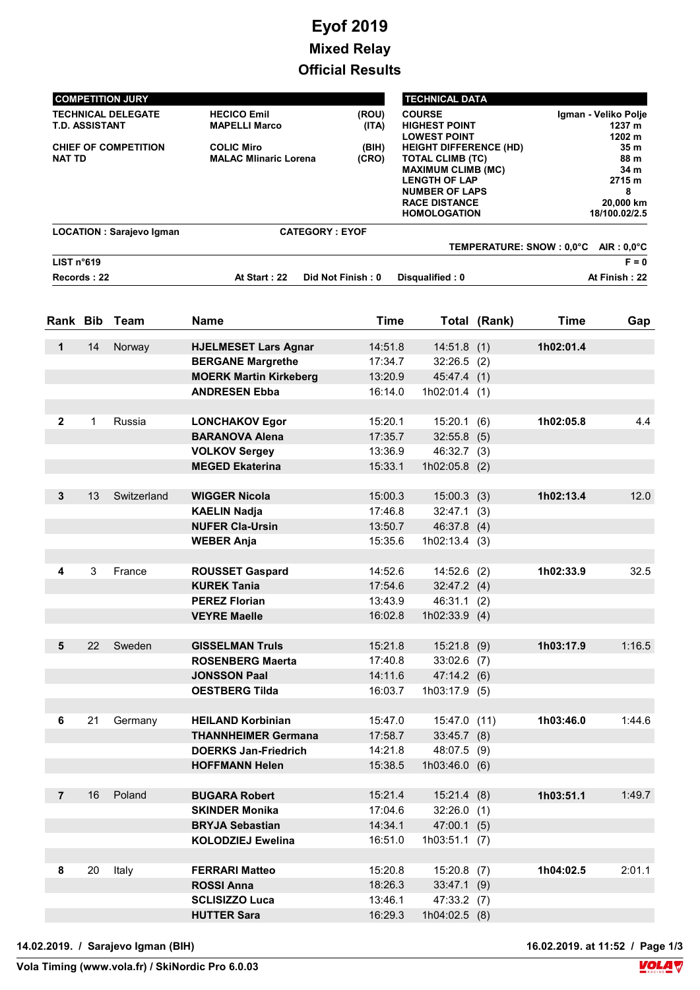## Eyof 2019 Mixed Relay Official Results

| <b>COMPETITION JURY</b>         |                              |                       | <b>TECHNICAL DATA</b>         |                      |  |
|---------------------------------|------------------------------|-----------------------|-------------------------------|----------------------|--|
| <b>TECHNICAL DELEGATE</b>       | <b>HECICO Emil</b>           | (ROU)                 | <b>COURSE</b>                 | Igman - Veliko Polje |  |
| <b>T.D. ASSISTANT</b>           | <b>MAPELLI Marco</b>         | (ITA)                 | <b>HIGHEST POINT</b>          | 1237 m               |  |
|                                 |                              |                       | <b>LOWEST POINT</b>           | 1202 m               |  |
| <b>CHIEF OF COMPETITION</b>     | <b>COLIC Miro</b>            | (BIH)                 | <b>HEIGHT DIFFERENCE (HD)</b> | 35 <sub>m</sub>      |  |
| <b>NAT TD</b>                   | <b>MALAC Mlinaric Lorena</b> | (CRO)                 | <b>TOTAL CLIMB (TC)</b>       | 88 m                 |  |
|                                 |                              |                       | <b>MAXIMUM CLIMB (MC)</b>     | 34 m                 |  |
|                                 |                              |                       | <b>LENGTH OF LAP</b>          | 2715 m               |  |
|                                 |                              |                       | <b>NUMBER OF LAPS</b>         | 8                    |  |
|                                 |                              |                       | <b>RACE DISTANCE</b>          | 20,000 km            |  |
|                                 |                              |                       | <b>HOMOLOGATION</b>           | 18/100.02/2.5        |  |
| <b>LOCATION: Sarajevo Igman</b> |                              | <b>CATEGORY: EYOF</b> |                               |                      |  |
|                                 |                              |                       | TEMPERATURE: SNOW: 0.0°C      | $AIR: 0.0^{\circ}C$  |  |
| LIST n°619                      |                              |                       |                               | $F = 0$              |  |
| Records: 22                     | At Start: 22                 | Did Not Finish: 0     | Disqualified: 0               | At Finish: 22        |  |

|                |    | Rank Bib Team | <b>Name</b>                   | <b>Time</b> |                 | Total (Rank) | <b>Time</b> | Gap    |
|----------------|----|---------------|-------------------------------|-------------|-----------------|--------------|-------------|--------|
| $\mathbf 1$    | 14 | Norway        | <b>HJELMESET Lars Agnar</b>   | 14:51.8     | 14:51.8(1)      |              | 1h02:01.4   |        |
|                |    |               | <b>BERGANE Margrethe</b>      | 17:34.7     | $32:26.5$ (2)   |              |             |        |
|                |    |               | <b>MOERK Martin Kirkeberg</b> | 13:20.9     | 45:47.4 (1)     |              |             |        |
|                |    |               | <b>ANDRESEN Ebba</b>          | 16:14.0     | $1h02:01.4$ (1) |              |             |        |
|                |    |               |                               |             |                 |              |             |        |
| $\mathbf{2}$   | 1  | Russia        | <b>LONCHAKOV Egor</b>         | 15:20.1     | 15:20.1(6)      |              | 1h02:05.8   | 4.4    |
|                |    |               | <b>BARANOVA Alena</b>         | 17:35.7     | $32:55.8$ (5)   |              |             |        |
|                |    |               | <b>VOLKOV Sergey</b>          | 13:36.9     | 46:32.7 (3)     |              |             |        |
|                |    |               | <b>MEGED Ekaterina</b>        | 15:33.1     | $1h02:05.8$ (2) |              |             |        |
|                |    |               |                               |             |                 |              |             |        |
| $3\phantom{a}$ | 13 | Switzerland   | <b>WIGGER Nicola</b>          | 15:00.3     | $15:00.3$ (3)   |              | 1h02:13.4   | 12.0   |
|                |    |               | <b>KAELIN Nadja</b>           | 17:46.8     | $32:47.1$ (3)   |              |             |        |
|                |    |               | <b>NUFER Cla-Ursin</b>        | 13:50.7     | 46:37.8(4)      |              |             |        |
|                |    |               | <b>WEBER Anja</b>             | 15:35.6     | 1h02:13.4(3)    |              |             |        |
|                |    |               |                               |             |                 |              |             |        |
| 4              | 3  | France        | <b>ROUSSET Gaspard</b>        | 14:52.6     | $14:52.6$ (2)   |              | 1h02:33.9   | 32.5   |
|                |    |               | <b>KUREK Tania</b>            | 17:54.6     | 32:47.2(4)      |              |             |        |
|                |    |               | <b>PEREZ Florian</b>          | 13:43.9     | 46:31.1(2)      |              |             |        |
|                |    |               | <b>VEYRE Maelle</b>           | 16:02.8     | $1h02:33.9$ (4) |              |             |        |
|                |    |               |                               |             |                 |              |             |        |
| 5              | 22 | Sweden        | <b>GISSELMAN Truls</b>        | 15:21.8     | $15:21.8$ (9)   |              | 1h03:17.9   | 1:16.5 |
|                |    |               | <b>ROSENBERG Maerta</b>       | 17:40.8     | $33:02.6$ (7)   |              |             |        |
|                |    |               | <b>JONSSON Paal</b>           | 14:11.6     | 47:14.2(6)      |              |             |        |
|                |    |               | <b>OESTBERG Tilda</b>         | 16:03.7     | $1h03:17.9$ (5) |              |             |        |
|                |    |               |                               |             |                 |              |             |        |
| 6              | 21 | Germany       | <b>HEILAND Korbinian</b>      | 15:47.0     | 15:47.0 (11)    |              | 1h03:46.0   | 1:44.6 |
|                |    |               | <b>THANNHEIMER Germana</b>    | 17:58.7     | $33:45.7$ (8)   |              |             |        |
|                |    |               | <b>DOERKS Jan-Friedrich</b>   | 14:21.8     | 48:07.5 (9)     |              |             |        |
|                |    |               | <b>HOFFMANN Helen</b>         | 15:38.5     | 1h03:46.0(6)    |              |             |        |
|                |    |               |                               |             |                 |              |             |        |
| $\overline{7}$ | 16 | Poland        | <b>BUGARA Robert</b>          | 15:21.4     | 15:21.4(8)      |              | 1h03:51.1   | 1:49.7 |
|                |    |               | <b>SKINDER Monika</b>         | 17:04.6     | $32:26.0$ (1)   |              |             |        |
|                |    |               | <b>BRYJA Sebastian</b>        | 14:34.1     | 47:00.1(5)      |              |             |        |
|                |    |               | <b>KOLODZIEJ Ewelina</b>      | 16:51.0     | 1h03:51.1(7)    |              |             |        |
|                |    |               |                               |             |                 |              |             |        |
| 8              | 20 | Italy         | <b>FERRARI Matteo</b>         | 15:20.8     | $15:20.8$ (7)   |              | 1h04:02.5   | 2:01.1 |
|                |    |               | <b>ROSSI Anna</b>             | 18:26.3     | $33:47.1$ (9)   |              |             |        |
|                |    |               | <b>SCLISIZZO Luca</b>         | 13:46.1     | 47:33.2 (7)     |              |             |        |
|                |    |               | <b>HUTTER Sara</b>            | 16:29.3     | $1h04:02.5$ (8) |              |             |        |

16.02.2019. at 11:52 / Page 1/3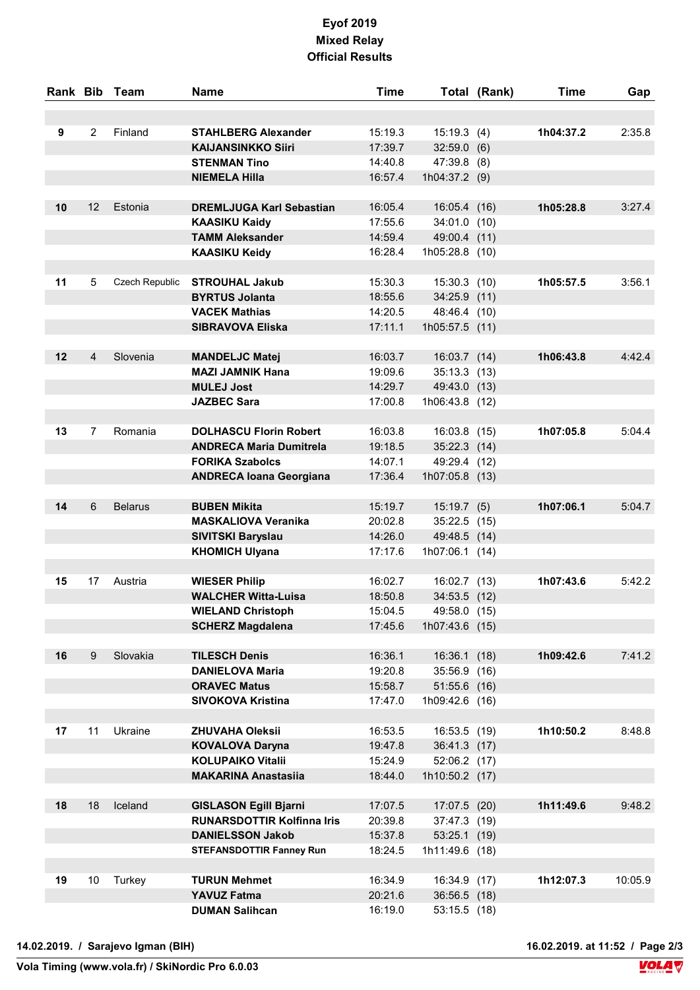## Eyof 2019 Mixed Relay Official Results

|    |                | Rank Bib Team  | <b>Name</b>                                                       | <b>Time</b>        |                              | Total (Rank) | Time      | Gap     |
|----|----------------|----------------|-------------------------------------------------------------------|--------------------|------------------------------|--------------|-----------|---------|
|    |                |                |                                                                   |                    |                              |              |           |         |
| 9  | $\overline{2}$ | Finland        | <b>STAHLBERG Alexander</b>                                        | 15:19.3            | 15:19.3(4)                   |              | 1h04:37.2 | 2:35.8  |
|    |                |                | <b>KAIJANSINKKO Siiri</b>                                         | 17:39.7            | $32:59.0$ (6)                |              |           |         |
|    |                |                | <b>STENMAN Tino</b>                                               | 14:40.8            | 47:39.8 (8)                  |              |           |         |
|    |                |                | <b>NIEMELA Hilla</b>                                              | 16:57.4            | 1h04:37.2 (9)                |              |           |         |
|    |                |                |                                                                   |                    |                              |              |           |         |
| 10 | 12             | Estonia        | <b>DREMLJUGA Karl Sebastian</b>                                   | 16:05.4            | 16:05.4 (16)                 |              | 1h05:28.8 | 3:27.4  |
|    |                |                | <b>KAASIKU Kaidy</b>                                              | 17:55.6            | 34:01.0 (10)                 |              |           |         |
|    |                |                | <b>TAMM Aleksander</b>                                            | 14:59.4            | 49:00.4 (11)                 |              |           |         |
|    |                |                | <b>KAASIKU Keidy</b>                                              | 16:28.4            | 1h05:28.8 (10)               |              |           |         |
| 11 | 5              | Czech Republic | <b>STROUHAL Jakub</b>                                             | 15:30.3            | 15:30.3 (10)                 |              | 1h05:57.5 | 3:56.1  |
|    |                |                | <b>BYRTUS Jolanta</b>                                             | 18:55.6            | 34:25.9 (11)                 |              |           |         |
|    |                |                | <b>VACEK Mathias</b>                                              | 14:20.5            | 48:46.4 (10)                 |              |           |         |
|    |                |                | <b>SIBRAVOVA Eliska</b>                                           | 17:11.1            | 1h05:57.5 (11)               |              |           |         |
|    |                |                |                                                                   |                    |                              |              |           |         |
| 12 | 4              | Slovenia       | <b>MANDELJC Matej</b>                                             | 16:03.7            | 16:03.7 (14)                 |              | 1h06:43.8 | 4:42.4  |
|    |                |                | <b>MAZI JAMNIK Hana</b>                                           | 19:09.6            | 35:13.3 (13)                 |              |           |         |
|    |                |                | <b>MULEJ Jost</b>                                                 | 14:29.7            | 49:43.0 (13)                 |              |           |         |
|    |                |                | <b>JAZBEC Sara</b>                                                | 17:00.8            | 1h06:43.8 (12)               |              |           |         |
|    |                |                |                                                                   |                    |                              |              |           |         |
| 13 | $\overline{7}$ | Romania        | <b>DOLHASCU Florin Robert</b>                                     | 16:03.8            | 16:03.8 (15)                 |              | 1h07:05.8 | 5:04.4  |
|    |                |                | <b>ANDRECA Maria Dumitrela</b>                                    | 19:18.5            | 35:22.3 (14)                 |              |           |         |
|    |                |                | <b>FORIKA Szabolcs</b>                                            | 14:07.1            | 49:29.4 (12)                 |              |           |         |
|    |                |                | <b>ANDRECA Ioana Georgiana</b>                                    | 17:36.4            | 1h07:05.8 (13)               |              |           |         |
|    |                |                |                                                                   |                    |                              |              |           |         |
| 14 | 6              | <b>Belarus</b> | <b>BUBEN Mikita</b>                                               | 15:19.7            | $15:19.7$ (5)                |              | 1h07:06.1 | 5:04.7  |
|    |                |                | <b>MASKALIOVA Veranika</b>                                        | 20:02.8            | $35:22.5$ (15)               |              |           |         |
|    |                |                | SIVITSKI Baryslau                                                 | 14:26.0            | 49:48.5 (14)                 |              |           |         |
|    |                |                | <b>KHOMICH Ulyana</b>                                             | 17:17.6            | $1h07:06.1$ (14)             |              |           |         |
|    |                |                |                                                                   |                    |                              |              |           |         |
| 15 | 17             | Austria        | <b>WIESER Philip</b>                                              | 16:02.7            | 16:02.7 (13)                 |              | 1h07:43.6 | 5:42.2  |
|    |                |                | <b>WALCHER Witta-Luisa</b>                                        | 18:50.8<br>15:04.5 | 34:53.5 (12)                 |              |           |         |
|    |                |                | <b>WIELAND Christoph</b>                                          |                    | 49:58.0 (15)                 |              |           |         |
|    |                |                | <b>SCHERZ Magdalena</b>                                           | 17:45.6            | 1h07:43.6 (15)               |              |           |         |
| 16 | 9              | Slovakia       | <b>TILESCH Denis</b>                                              | 16:36.1            | 16:36.1                      | (18)         | 1h09:42.6 | 7:41.2  |
|    |                |                | <b>DANIELOVA Maria</b>                                            | 19:20.8            | 35:56.9 (16)                 |              |           |         |
|    |                |                | <b>ORAVEC Matus</b>                                               | 15:58.7            | 51:55.6 (16)                 |              |           |         |
|    |                |                | <b>SIVOKOVA Kristina</b>                                          | 17:47.0            | 1h09:42.6 (16)               |              |           |         |
|    |                |                |                                                                   |                    |                              |              |           |         |
| 17 | 11             | Ukraine        | <b>ZHUVAHA Oleksii</b>                                            | 16:53.5            | 16:53.5 (19)                 |              | 1h10:50.2 | 8:48.8  |
|    |                |                | <b>KOVALOVA Daryna</b>                                            | 19:47.8            | 36:41.3 (17)                 |              |           |         |
|    |                |                | <b>KOLUPAIKO Vitalii</b>                                          | 15:24.9            | 52:06.2 (17)                 |              |           |         |
|    |                |                | <b>MAKARINA Anastasiia</b>                                        | 18:44.0            | 1h10:50.2 (17)               |              |           |         |
| 18 | 18             | Iceland        |                                                                   | 17:07.5            |                              |              | 1h11:49.6 | 9:48.2  |
|    |                |                | <b>GISLASON Egill Bjarni</b><br><b>RUNARSDOTTIR Kolfinna Iris</b> | 20:39.8            | 17:07.5 (20)<br>37:47.3 (19) |              |           |         |
|    |                |                | <b>DANIELSSON Jakob</b>                                           | 15:37.8            | 53:25.1(19)                  |              |           |         |
|    |                |                | <b>STEFANSDOTTIR Fanney Run</b>                                   | 18:24.5            | 1h11:49.6 (18)               |              |           |         |
|    |                |                |                                                                   |                    |                              |              |           |         |
| 19 | 10             | Turkey         | <b>TURUN Mehmet</b>                                               | 16:34.9            | 16:34.9 (17)                 |              | 1h12:07.3 | 10:05.9 |
|    |                |                | <b>YAVUZ Fatma</b>                                                | 20:21.6            | 36:56.5 (18)                 |              |           |         |
|    |                |                | <b>DUMAN Salihcan</b>                                             | 16:19.0            | 53:15.5 (18)                 |              |           |         |
|    |                |                |                                                                   |                    |                              |              |           |         |

16.02.2019. at 11:52 / Page 2/3